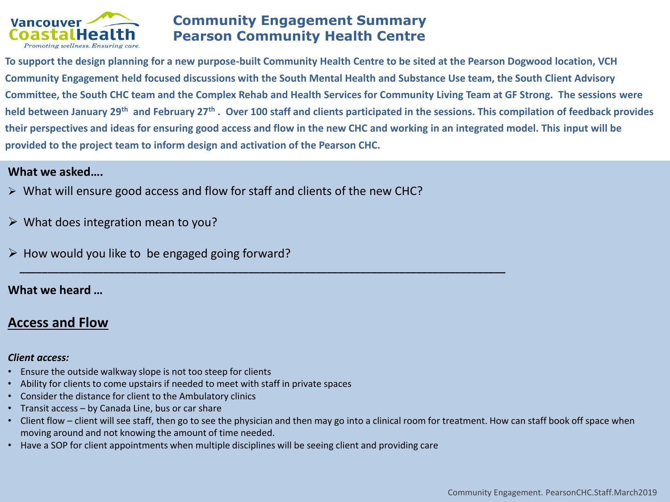

# **Community Engagement Summary Pearson Community Health Centre**

**To support the design planning for a new purpose-built Community Health Centre to be sited at the Pearson Dogwood location, VCH Community Engagement held focused discussions with the South Mental Health and Substance Use team, the South Client Advisory Committee, the South CHC team and the Complex Rehab and Health Services for Community Living Team at GF Strong. The sessions were held between January 29th and February 27th . Over 100 staff and clients participated in the sessions. This compilation of feedback provides their perspectives and ideas for ensuring good access and flow in the new CHC and working in an integrated model. This input will be provided to the project team to inform design and activation of the Pearson CHC.**

## **What we asked….**

What will ensure good access and flow for staff and clients of the new CHC?

*\_\_\_\_\_\_\_\_\_\_\_\_\_\_\_\_\_\_\_\_\_\_\_\_\_\_\_\_\_\_\_\_\_\_\_\_\_\_\_\_\_\_\_\_\_\_\_\_\_\_\_\_\_\_\_\_\_\_\_\_\_\_\_\_\_\_\_\_\_\_\_\_\_\_\_\_\_\_\_\_\_\_\_\_\_\_\_*

- $\triangleright$  What does integration mean to you?
- $\triangleright$  How would you like to be engaged going forward?

# **What we heard …**

# **Access and Flow**

### *Client access:*

- Ensure the outside walkway slope is not too steep for clients
- Ability for clients to come upstairs if needed to meet with staff in private spaces
- Consider the distance for client to the Ambulatory clinics
- Transit access by Canada Line, bus or car share
- Client flow client will see staff, then go to see the physician and then may go into a clinical room for treatment. How can staff book off space when moving around and not knowing the amount of time needed.
- Have a SOP for client appointments when multiple disciplines will be seeing client and providing care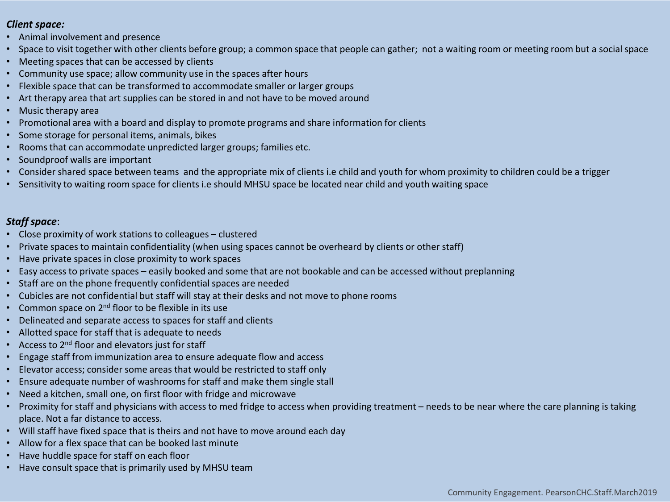### *Client space:*

- Animal involvement and presence
- Space to visit together with other clients before group; a common space that people can gather; not a waiting room or meeting room but a social space
- Meeting spaces that can be accessed by clients
- Community use space; allow community use in the spaces after hours
- Flexible space that can be transformed to accommodate smaller or larger groups
- Art therapy area that art supplies can be stored in and not have to be moved around
- Music therapy area
- Promotional area with a board and display to promote programs and share information for clients
- Some storage for personal items, animals, bikes
- Rooms that can accommodate unpredicted larger groups; families etc.
- Soundproof walls are important
- Consider shared space between teams and the appropriate mix of clients i.e child and youth for whom proximity to children could be a trigger
- Sensitivity to waiting room space for clients i.e should MHSU space be located near child and youth waiting space

# *Staff space*:

- Close proximity of work stations to colleagues clustered
- Private spaces to maintain confidentiality (when using spaces cannot be overheard by clients or other staff)
- Have private spaces in close proximity to work spaces
- Easy access to private spaces easily booked and some that are not bookable and can be accessed without preplanning
- Staff are on the phone frequently confidential spaces are needed
- Cubicles are not confidential but staff will stay at their desks and not move to phone rooms
- Common space on 2<sup>nd</sup> floor to be flexible in its use
- Delineated and separate access to spaces for staff and clients
- Allotted space for staff that is adequate to needs
- Access to 2<sup>nd</sup> floor and elevators just for staff
- Engage staff from immunization area to ensure adequate flow and access
- Elevator access; consider some areas that would be restricted to staff only
- Ensure adequate number of washrooms for staff and make them single stall
- Need a kitchen, small one, on first floor with fridge and microwave
- Proximity for staff and physicians with access to med fridge to access when providing treatment needs to be near where the care planning is taking place. Not a far distance to access.
- Will staff have fixed space that is theirs and not have to move around each day
- Allow for a flex space that can be booked last minute
- Have huddle space for staff on each floor
- Have consult space that is primarily used by MHSU team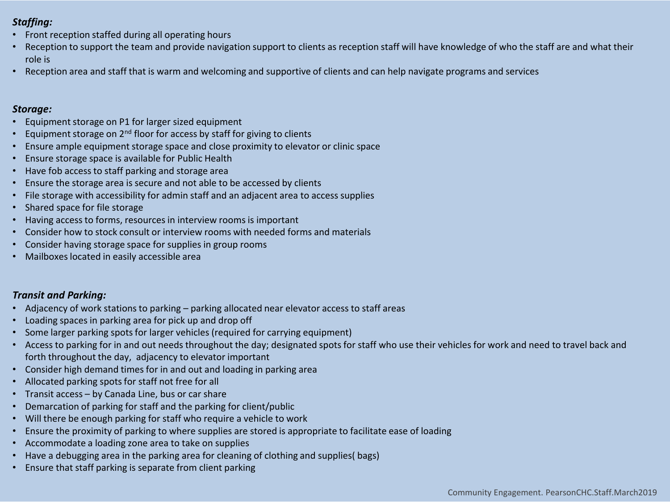## *Staffing:*

- Front reception staffed during all operating hours
- Reception to support the team and provide navigation support to clients as reception staff will have knowledge of who the staff are and what their role is
- Reception area and staff that is warm and welcoming and supportive of clients and can help navigate programs and services

#### *Storage:*

- Equipment storage on P1 for larger sized equipment
- Equipment storage on  $2<sup>nd</sup>$  floor for access by staff for giving to clients
- Ensure ample equipment storage space and close proximity to elevator or clinic space
- Ensure storage space is available for Public Health
- Have fob access to staff parking and storage area
- Ensure the storage area is secure and not able to be accessed by clients
- File storage with accessibility for admin staff and an adjacent area to access supplies
- Shared space for file storage
- Having access to forms, resources in interview rooms is important
- Consider how to stock consult or interview rooms with needed forms and materials
- Consider having storage space for supplies in group rooms
- Mailboxes located in easily accessible area

## *Transit and Parking:*

- Adjacency of work stations to parking parking allocated near elevator access to staff areas
- Loading spaces in parking area for pick up and drop off
- Some larger parking spots for larger vehicles (required for carrying equipment)
- Access to parking for in and out needs throughout the day; designated spots for staff who use their vehicles for work and need to travel back and forth throughout the day, adjacency to elevator important
- Consider high demand times for in and out and loading in parking area
- Allocated parking spots for staff not free for all
- Transit access by Canada Line, bus or car share
- Demarcation of parking for staff and the parking for client/public
- Will there be enough parking for staff who require a vehicle to work
- Ensure the proximity of parking to where supplies are stored is appropriate to facilitate ease of loading
- Accommodate a loading zone area to take on supplies
- Have a debugging area in the parking area for cleaning of clothing and supplies( bags)
- Ensure that staff parking is separate from client parking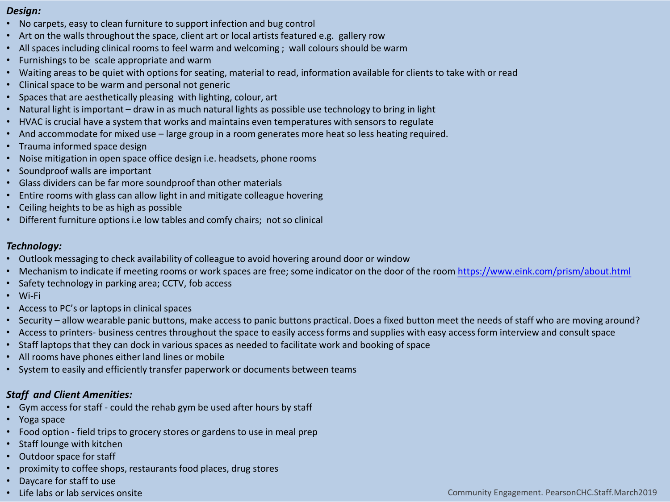#### *Design:*

- No carpets, easy to clean furniture to support infection and bug control
- Art on the walls throughout the space, client art or local artists featured e.g. gallery row
- All spaces including clinical rooms to feel warm and welcoming ; wall colours should be warm
- Furnishings to be scale appropriate and warm
- Waiting areas to be quiet with options for seating, material to read, information available for clients to take with or read
- Clinical space to be warm and personal not generic
- Spaces that are aesthetically pleasing with lighting, colour, art
- Natural light is important draw in as much natural lights as possible use technology to bring in light
- HVAC is crucial have a system that works and maintains even temperatures with sensors to regulate
- And accommodate for mixed use large group in a room generates more heat so less heating required.
- Trauma informed space design
- Noise mitigation in open space office design i.e. headsets, phone rooms
- Soundproof walls are important
- Glass dividers can be far more soundproof than other materials
- Entire rooms with glass can allow light in and mitigate colleague hovering
- Ceiling heights to be as high as possible
- Different furniture options i.e low tables and comfy chairs; not so clinical

## *Technology:*

- Outlook messaging to check availability of colleague to avoid hovering around door or window
- Mechanism to indicate if meeting rooms or work spaces are free; some indicator on the door of the room <https://www.eink.com/prism/about.html>
- Safety technology in parking area; CCTV, fob access
- Wi-Fi
- Access to PC's or laptops in clinical spaces
- Security allow wearable panic buttons, make access to panic buttons practical. Does a fixed button meet the needs of staff who are moving around?
- Access to printers- business centres throughout the space to easily access forms and supplies with easy access form interview and consult space
- Staff laptops that they can dock in various spaces as needed to facilitate work and booking of space
- All rooms have phones either land lines or mobile
- System to easily and efficiently transfer paperwork or documents between teams

# *Staff and Client Amenities:*

- Gym access for staff could the rehab gym be used after hours by staff
- Yoga space
- Food option field trips to grocery stores or gardens to use in meal prep
- Staff lounge with kitchen
- Outdoor space for staff
- proximity to coffee shops, restaurants food places, drug stores
- Daycare for staff to use
-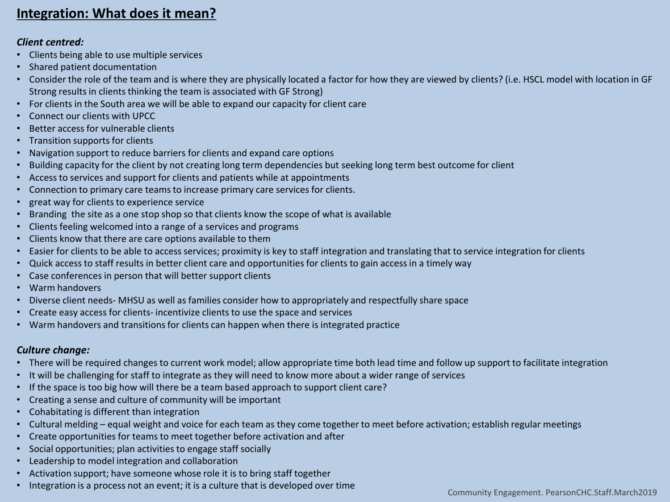# **Integration: What does it mean?**

### *Client centred:*

- Clients being able to use multiple services
- Shared patient documentation
- Consider the role of the team and is where they are physically located a factor for how they are viewed by clients? (i.e. HSCL model with location in GF Strong results in clients thinking the team is associated with GF Strong)
- For clients in the South area we will be able to expand our capacity for client care
- Connect our clients with UPCC
- Better access for vulnerable clients
- Transition supports for clients
- Navigation support to reduce barriers for clients and expand care options
- Building capacity for the client by not creating long term dependencies but seeking long term best outcome for client
- Access to services and support for clients and patients while at appointments
- Connection to primary care teams to increase primary care services for clients.
- great way for clients to experience service
- Branding the site as a one stop shop so that clients know the scope of what is available
- Clients feeling welcomed into a range of a services and programs
- Clients know that there are care options available to them
- Easier for clients to be able to access services; proximity is key to staff integration and translating that to service integration for clients
- Quick access to staff results in better client care and opportunities for clients to gain access in a timely way
- Case conferences in person that will better support clients
- Warm handovers
- Diverse client needs- MHSU as well as families consider how to appropriately and respectfully share space
- Create easy access for clients- incentivize clients to use the space and services
- Warm handovers and transitions for clients can happen when there is integrated practice

## *Culture change:*

- There will be required changes to current work model; allow appropriate time both lead time and follow up support to facilitate integration
- It will be challenging for staff to integrate as they will need to know more about a wider range of services
- If the space is too big how will there be a team based approach to support client care?
- Creating a sense and culture of community will be important
- Cohabitating is different than integration
- Cultural melding equal weight and voice for each team as they come together to meet before activation; establish regular meetings
- Create opportunities for teams to meet together before activation and after
- Social opportunities; plan activities to engage staff socially
- Leadership to model integration and collaboration
- Activation support; have someone whose role it is to bring staff together
- Integration is a process not an event; it is a culture that is developed over time